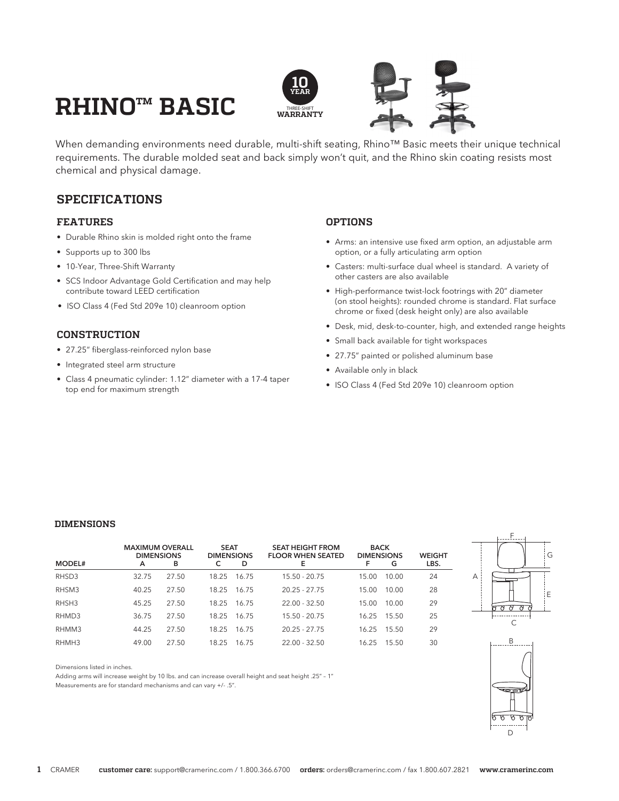# **RHINO™ BASIC**



When demanding environments need durable, multi-shift seating, Rhino™ Basic meets their unique technical requirements. The durable molded seat and back simply won't quit, and the Rhino skin coating resists most chemical and physical damage.

## **SPECIFICATIONS**

### **FEATURES**

- Durable Rhino skin is molded right onto the frame
- Supports up to 300 lbs
- 10-Year, Three-Shift Warranty
- SCS Indoor Advantage Gold Certification and may help contribute toward LEED certification
- ISO Class 4 (Fed Std 209e 10) cleanroom option

## **CONSTRUCTION**

- 27.25" fiberglass-reinforced nylon base
- Integrated steel arm structure
- Class 4 pneumatic cylinder: 1.12" diameter with a 17-4 taper top end for maximum strength

Adding arms will increase weight by 10 lbs. and can increase overall height and seat height .25" - 1"

Measurements are for standard mechanisms and can vary +/- .5".

## **OPTIONS**

- Arms: an intensive use fixed arm option, an adjustable arm option, or a fully articulating arm option
- Casters: multi-surface dual wheel is standard. A variety of other casters are also available
- High-performance twist-lock footrings with 20" diameter (on stool heights): rounded chrome is standard. Flat surface chrome or fixed (desk height only) are also available
- Desk, mid, desk-to-counter, high, and extended range heights
- Small back available for tight workspaces
- 27.75" painted or polished aluminum base
- Available only in black
- ISO Class 4 (Fed Std 209e 10) cleanroom option

#### **DIMENSIONS**

Dimensions listed in inches.

| <b>MODEL#</b> | <b>MAXIMUM OVERALL</b><br><b>DIMENSIONS</b><br>A | в     | <b>SEAT</b><br><b>DIMENSIONS</b> | D     | <b>SEAT HEIGHT FROM</b><br><b>FLOOR WHEN SEATED</b><br>Е | <b>BACK</b><br><b>DIMENSIONS</b><br>F | G     | <b>WEIGHT</b><br>LBS. |
|---------------|--------------------------------------------------|-------|----------------------------------|-------|----------------------------------------------------------|---------------------------------------|-------|-----------------------|
| RHSD3         | 32.75                                            | 27.50 | 18.25                            | 16.75 | $15.50 - 20.75$                                          | 15.00                                 | 10.00 | 24                    |
| RHSM3         | 40.25                                            | 27.50 | 18.25                            | 16.75 | $20.25 - 27.75$                                          | 15.00                                 | 10.00 | 28                    |
| RHSH3         | 45.25                                            | 27.50 | 18.25                            | 16.75 | $22.00 - 32.50$                                          | 15.00                                 | 10.00 | 29                    |
| RHMD3         | 36.75                                            | 27.50 | 18.25                            | 16.75 | $15.50 - 20.75$                                          | 16.25                                 | 15.50 | 25                    |
| RHMM3         | 44.25                                            | 27.50 | 18.25                            | 16.75 | $20.25 - 27.75$                                          | 16.25                                 | 15.50 | 29                    |
| RHMH3         | 49.00                                            | 27.50 | 18.25                            | 16.75 | $22.00 - 32.50$                                          | 16.25                                 | 15.50 | 30                    |